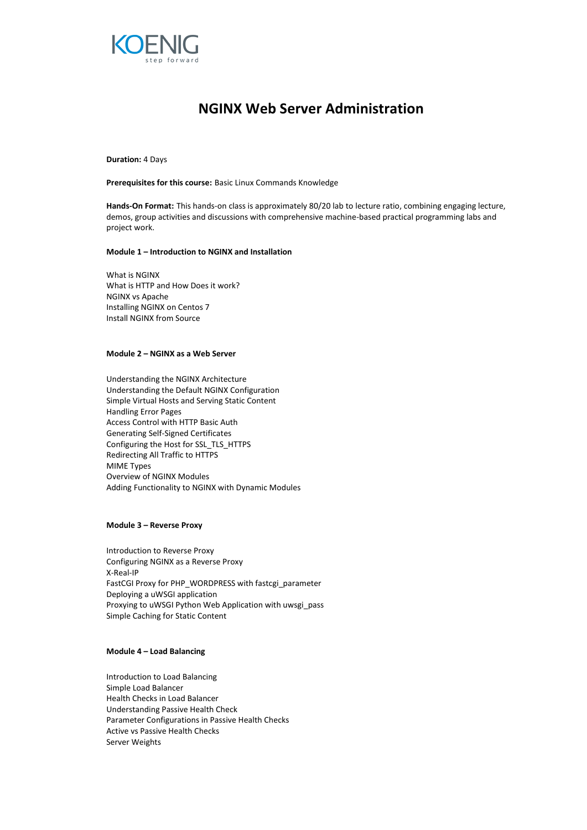

# **NGINX Web Server Administration**

**Duration:** 4 Days

**Prerequisites for this course:** Basic Linux Commands Knowledge

**Hands-On Format:** This hands-on class is approximately 80/20 lab to lecture ratio, combining engaging lecture, demos, group activities and discussions with comprehensive machine-based practical programming labs and project work.

#### **Module 1 – Introduction to NGINX and Installation**

What is NGINX What is HTTP and How Does it work? NGINX vs Apache Installing NGINX on Centos 7 Install NGINX from Source

### **Module 2 – NGINX as a Web Server**

Understanding the NGINX Architecture Understanding the Default NGINX Configuration Simple Virtual Hosts and Serving Static Content Handling Error Pages Access Control with HTTP Basic Auth Generating Self-Signed Certificates Configuring the Host for SSL\_TLS\_HTTPS Redirecting All Traffic to HTTPS MIME Types Overview of NGINX Modules Adding Functionality to NGINX with Dynamic Modules

#### **Module 3 – Reverse Proxy**

Introduction to Reverse Proxy Configuring NGINX as a Reverse Proxy X-Real-IP FastCGI Proxy for PHP\_WORDPRESS with fastcgi\_parameter Deploying a uWSGI application Proxying to uWSGI Python Web Application with uwsgi\_pass Simple Caching for Static Content

## **Module 4 – Load Balancing**

Introduction to Load Balancing Simple Load Balancer Health Checks in Load Balancer Understanding Passive Health Check Parameter Configurations in Passive Health Checks Active vs Passive Health Checks Server Weights